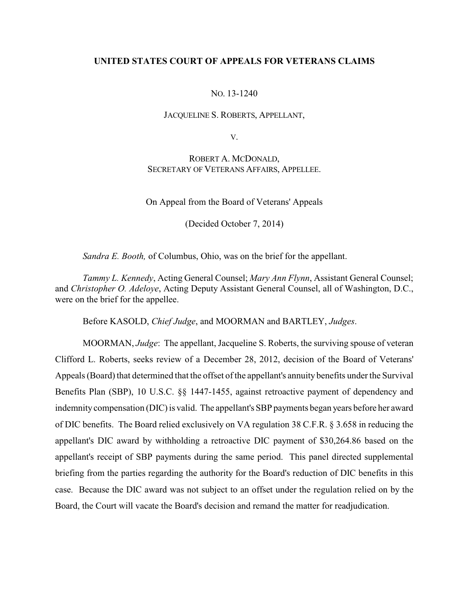## **UNITED STATES COURT OF APPEALS FOR VETERANS CLAIMS**

## NO. 13-1240

#### JACQUELINE S. ROBERTS, APPELLANT,

V.

# ROBERT A. MCDONALD, SECRETARY OF VETERANS AFFAIRS, APPELLEE.

On Appeal from the Board of Veterans' Appeals

(Decided October 7, 2014)

*Sandra E. Booth,* of Columbus, Ohio, was on the brief for the appellant.

*Tammy L. Kennedy*, Acting General Counsel; *Mary Ann Flynn*, Assistant General Counsel; and *Christopher O. Adeloye*, Acting Deputy Assistant General Counsel, all of Washington, D.C., were on the brief for the appellee.

Before KASOLD, *Chief Judge*, and MOORMAN and BARTLEY, *Judges*.

MOORMAN, *Judge*: The appellant, Jacqueline S. Roberts, the surviving spouse of veteran Clifford L. Roberts, seeks review of a December 28, 2012, decision of the Board of Veterans' Appeals (Board) that determined that the offset of the appellant's annuity benefits under the Survival Benefits Plan (SBP), 10 U.S.C. §§ 1447-1455, against retroactive payment of dependency and indemnity compensation (DIC) is valid. The appellant's SBP payments began years before her award of DIC benefits. The Board relied exclusively on VA regulation 38 C.F.R. § 3.658 in reducing the appellant's DIC award by withholding a retroactive DIC payment of \$30,264.86 based on the appellant's receipt of SBP payments during the same period. This panel directed supplemental briefing from the parties regarding the authority for the Board's reduction of DIC benefits in this case. Because the DIC award was not subject to an offset under the regulation relied on by the Board, the Court will vacate the Board's decision and remand the matter for readjudication.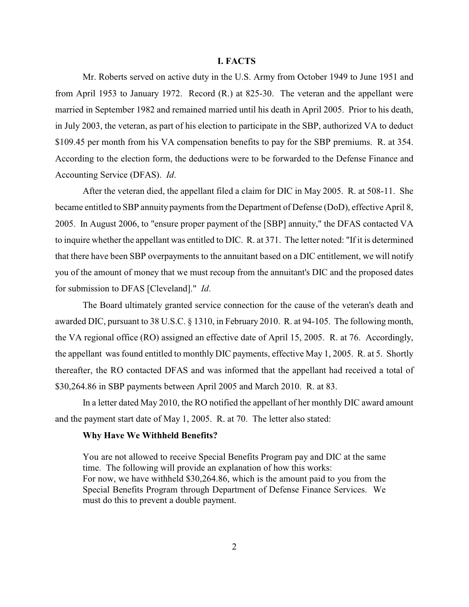#### **I. FACTS**

Mr. Roberts served on active duty in the U.S. Army from October 1949 to June 1951 and from April 1953 to January 1972. Record (R.) at 825-30. The veteran and the appellant were married in September 1982 and remained married until his death in April 2005. Prior to his death, in July 2003, the veteran, as part of his election to participate in the SBP, authorized VA to deduct \$109.45 per month from his VA compensation benefits to pay for the SBP premiums. R. at 354. According to the election form, the deductions were to be forwarded to the Defense Finance and Accounting Service (DFAS). *Id*.

After the veteran died, the appellant filed a claim for DIC in May 2005. R. at 508-11. She became entitled to SBP annuity payments from the Department of Defense (DoD), effective April 8, 2005. In August 2006, to "ensure proper payment of the [SBP] annuity," the DFAS contacted VA to inquire whether the appellant was entitled to DIC. R. at 371. The letter noted: "If it is determined that there have been SBP overpayments to the annuitant based on a DIC entitlement, we will notify you of the amount of money that we must recoup from the annuitant's DIC and the proposed dates for submission to DFAS [Cleveland]." *Id*.

The Board ultimately granted service connection for the cause of the veteran's death and awarded DIC, pursuant to 38 U.S.C. § 1310, in February 2010. R. at 94-105. The following month, the VA regional office (RO) assigned an effective date of April 15, 2005. R. at 76. Accordingly, the appellant was found entitled to monthly DIC payments, effective May 1, 2005. R. at 5. Shortly thereafter, the RO contacted DFAS and was informed that the appellant had received a total of \$30,264.86 in SBP payments between April 2005 and March 2010. R. at 83.

In a letter dated May 2010, the RO notified the appellant of her monthly DIC award amount and the payment start date of May 1, 2005. R. at 70. The letter also stated:

#### **Why Have We Withheld Benefits?**

You are not allowed to receive Special Benefits Program pay and DIC at the same time. The following will provide an explanation of how this works: For now, we have withheld \$30,264.86, which is the amount paid to you from the Special Benefits Program through Department of Defense Finance Services. We must do this to prevent a double payment.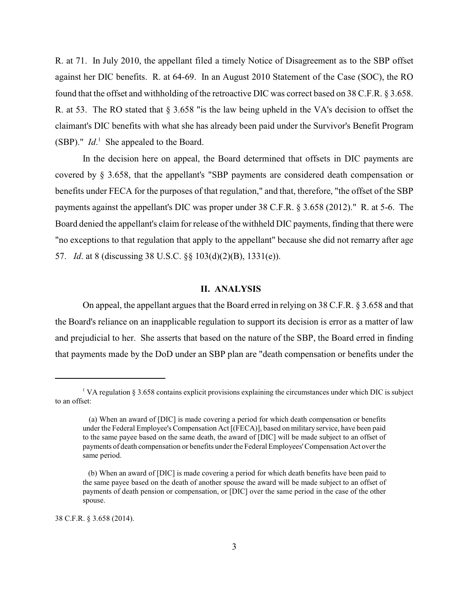R. at 71. In July 2010, the appellant filed a timely Notice of Disagreement as to the SBP offset against her DIC benefits. R. at 64-69. In an August 2010 Statement of the Case (SOC), the RO found that the offset and withholding of the retroactive DIC was correct based on 38 C.F.R. § 3.658. R. at 53. The RO stated that § 3.658 "is the law being upheld in the VA's decision to offset the claimant's DIC benefits with what she has already been paid under the Survivor's Benefit Program (SBP)."  $Id.$ <sup>1</sup> She appealed to the Board.

In the decision here on appeal, the Board determined that offsets in DIC payments are covered by § 3.658, that the appellant's "SBP payments are considered death compensation or benefits under FECA for the purposes of that regulation," and that, therefore, "the offset of the SBP payments against the appellant's DIC was proper under 38 C.F.R. § 3.658 (2012)." R. at 5-6. The Board denied the appellant's claim for release of the withheld DIC payments, finding that there were "no exceptions to that regulation that apply to the appellant" because she did not remarry after age 57. *Id*. at 8 (discussing 38 U.S.C. §§ 103(d)(2)(B), 1331(e)).

### **II. ANALYSIS**

On appeal, the appellant argues that the Board erred in relying on 38 C.F.R. § 3.658 and that the Board's reliance on an inapplicable regulation to support its decision is error as a matter of law and prejudicial to her. She asserts that based on the nature of the SBP, the Board erred in finding that payments made by the DoD under an SBP plan are "death compensation or benefits under the

38 C.F.R. § 3.658 (2014).

<sup>&</sup>lt;sup>1</sup> VA regulation § 3.658 contains explicit provisions explaining the circumstances under which DIC is subject to an offset:

<sup>(</sup>a) When an award of [DIC] is made covering a period for which death compensation or benefits under the Federal Employee's Compensation Act [(FECA)], based on military service, have been paid to the same payee based on the same death, the award of [DIC] will be made subject to an offset of payments of death compensation or benefits under the Federal Employees'Compensation Act over the same period.

 <sup>(</sup>b) When an award of [DIC] is made covering a period for which death benefits have been paid to the same payee based on the death of another spouse the award will be made subject to an offset of payments of death pension or compensation, or [DIC] over the same period in the case of the other spouse.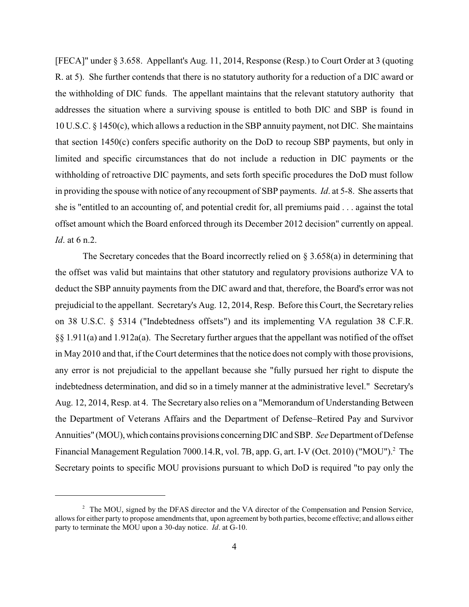[FECA]" under § 3.658. Appellant's Aug. 11, 2014, Response (Resp.) to Court Order at 3 (quoting R. at 5). She further contends that there is no statutory authority for a reduction of a DIC award or the withholding of DIC funds. The appellant maintains that the relevant statutory authority that addresses the situation where a surviving spouse is entitled to both DIC and SBP is found in 10 U.S.C. § 1450(c), which allows a reduction in the SBP annuity payment, not DIC. She maintains that section 1450(c) confers specific authority on the DoD to recoup SBP payments, but only in limited and specific circumstances that do not include a reduction in DIC payments or the withholding of retroactive DIC payments, and sets forth specific procedures the DoD must follow in providing the spouse with notice of any recoupment of SBP payments. *Id*. at 5-8. She asserts that she is "entitled to an accounting of, and potential credit for, all premiums paid . . . against the total offset amount which the Board enforced through its December 2012 decision" currently on appeal. *Id*. at 6 n.2.

The Secretary concedes that the Board incorrectly relied on  $\S 3.658(a)$  in determining that the offset was valid but maintains that other statutory and regulatory provisions authorize VA to deduct the SBP annuity payments from the DIC award and that, therefore, the Board's error was not prejudicial to the appellant. Secretary's Aug. 12, 2014, Resp. Before this Court, the Secretary relies on 38 U.S.C. § 5314 ("Indebtedness offsets") and its implementing VA regulation 38 C.F.R. §§ 1.911(a) and 1.912a(a). The Secretary further argues that the appellant was notified of the offset in May 2010 and that, if the Court determines that the notice does not comply with those provisions, any error is not prejudicial to the appellant because she "fully pursued her right to dispute the indebtedness determination, and did so in a timely manner at the administrative level." Secretary's Aug. 12, 2014, Resp. at 4. The Secretary also relies on a "Memorandum of Understanding Between the Department of Veterans Affairs and the Department of Defense–Retired Pay and Survivor Annuities" (MOU), which contains provisions concerning DIC and SBP. *See* Department of Defense Financial Management Regulation 7000.14.R, vol. 7B, app. G, art. I-V (Oct. 2010) ("MOU").<sup>2</sup> The Secretary points to specific MOU provisions pursuant to which DoD is required "to pay only the

<sup>&</sup>lt;sup>2</sup> The MOU, signed by the DFAS director and the VA director of the Compensation and Pension Service, allows for either party to propose amendments that, upon agreement by both parties, become effective; and allows either party to terminate the MOU upon a 30-day notice. *Id*. at G-10.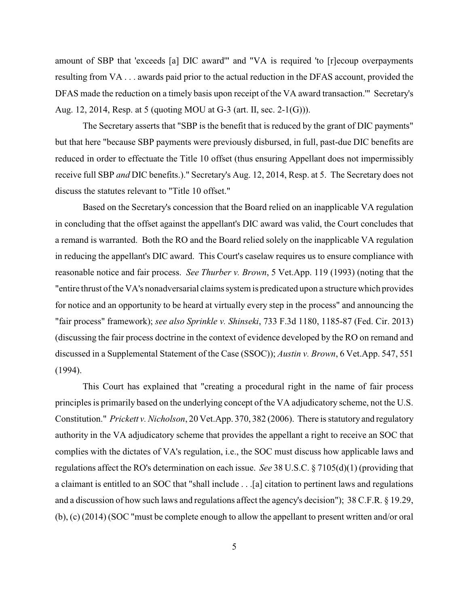amount of SBP that 'exceeds [a] DIC award'" and "VA is required 'to [r]ecoup overpayments resulting from VA . . . awards paid prior to the actual reduction in the DFAS account, provided the DFAS made the reduction on a timely basis upon receipt of the VA award transaction.'" Secretary's Aug. 12, 2014, Resp. at 5 (quoting MOU at G-3 (art. II, sec. 2-1(G))).

The Secretary asserts that "SBP is the benefit that is reduced by the grant of DIC payments" but that here "because SBP payments were previously disbursed, in full, past-due DIC benefits are reduced in order to effectuate the Title 10 offset (thus ensuring Appellant does not impermissibly receive full SBP *and* DIC benefits.)." Secretary's Aug. 12, 2014, Resp. at 5. The Secretary does not discuss the statutes relevant to "Title 10 offset."

Based on the Secretary's concession that the Board relied on an inapplicable VA regulation in concluding that the offset against the appellant's DIC award was valid, the Court concludes that a remand is warranted. Both the RO and the Board relied solely on the inapplicable VA regulation in reducing the appellant's DIC award. This Court's caselaw requires us to ensure compliance with reasonable notice and fair process. *See Thurber v. Brown*, 5 Vet.App. 119 (1993) (noting that the "entire thrust of the VA's nonadversarial claims system is predicated upon a structurewhich provides for notice and an opportunity to be heard at virtually every step in the process" and announcing the "fair process" framework); *see also Sprinkle v. Shinseki*, 733 F.3d 1180, 1185-87 (Fed. Cir. 2013) (discussing the fair process doctrine in the context of evidence developed by the RO on remand and discussed in a Supplemental Statement of the Case (SSOC)); *Austin v. Brown*, 6 Vet.App. 547, 551 (1994).

This Court has explained that "creating a procedural right in the name of fair process principles is primarily based on the underlying concept of the VA adjudicatory scheme, not the U.S. Constitution." *Prickett v. Nicholson*, 20 Vet.App. 370, 382 (2006). There is statutory and regulatory authority in the VA adjudicatory scheme that provides the appellant a right to receive an SOC that complies with the dictates of VA's regulation, i.e., the SOC must discuss how applicable laws and regulations affect the RO's determination on each issue. *See* 38 U.S.C. § 7105(d)(1) (providing that a claimant is entitled to an SOC that "shall include . . .[a] citation to pertinent laws and regulations and a discussion of how such laws and regulations affect the agency's decision"); 38 C.F.R. § 19.29, (b), (c) (2014) (SOC "must be complete enough to allow the appellant to present written and/or oral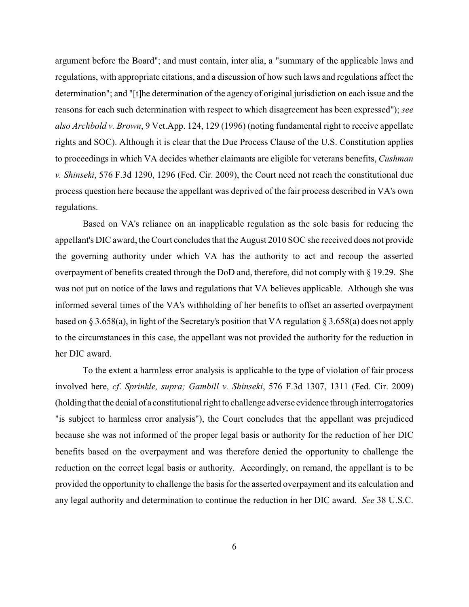argument before the Board"; and must contain, inter alia, a "summary of the applicable laws and regulations, with appropriate citations, and a discussion of how such laws and regulations affect the determination"; and "[t]he determination of the agency of original jurisdiction on each issue and the reasons for each such determination with respect to which disagreement has been expressed"); *see also Archbold v. Brown*, 9 Vet.App. 124, 129 (1996) (noting fundamental right to receive appellate rights and SOC). Although it is clear that the Due Process Clause of the U.S. Constitution applies to proceedings in which VA decides whether claimants are eligible for veterans benefits, *Cushman v. Shinseki*, 576 F.3d 1290, 1296 (Fed. Cir. 2009), the Court need not reach the constitutional due process question here because the appellant was deprived of the fair process described in VA's own regulations.

Based on VA's reliance on an inapplicable regulation as the sole basis for reducing the appellant's DIC award, the Court concludes that the August 2010 SOC she received does not provide the governing authority under which VA has the authority to act and recoup the asserted overpayment of benefits created through the DoD and, therefore, did not comply with § 19.29. She was not put on notice of the laws and regulations that VA believes applicable. Although she was informed several times of the VA's withholding of her benefits to offset an asserted overpayment based on § 3.658(a), in light of the Secretary's position that VA regulation § 3.658(a) does not apply to the circumstances in this case, the appellant was not provided the authority for the reduction in her DIC award.

To the extent a harmless error analysis is applicable to the type of violation of fair process involved here, *cf*. *Sprinkle, supra; Gambill v. Shinseki*, 576 F.3d 1307, 1311 (Fed. Cir. 2009) (holding that the denial of a constitutional right to challenge adverse evidence through interrogatories "is subject to harmless error analysis"), the Court concludes that the appellant was prejudiced because she was not informed of the proper legal basis or authority for the reduction of her DIC benefits based on the overpayment and was therefore denied the opportunity to challenge the reduction on the correct legal basis or authority. Accordingly, on remand, the appellant is to be provided the opportunity to challenge the basis for the asserted overpayment and its calculation and any legal authority and determination to continue the reduction in her DIC award. *See* 38 U.S.C.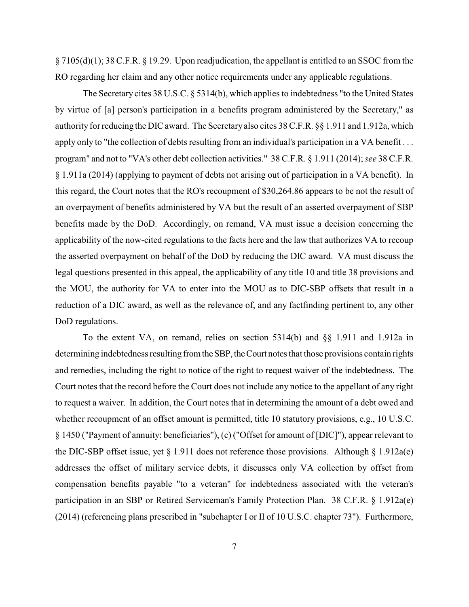§ 7105(d)(1); 38 C.F.R. § 19.29. Upon readjudication, the appellant is entitled to an SSOC from the RO regarding her claim and any other notice requirements under any applicable regulations.

The Secretary cites 38 U.S.C. § 5314(b), which applies to indebtedness "to the United States by virtue of [a] person's participation in a benefits program administered by the Secretary," as authority for reducing the DIC award. The Secretary also cites 38 C.F.R. §§ 1.911 and 1.912a, which apply only to "the collection of debts resulting from an individual's participation in a VA benefit ... program" and not to "VA's other debt collection activities." 38 C.F.R. § 1.911 (2014); *see* 38 C.F.R. § 1.911a (2014) (applying to payment of debts not arising out of participation in a VA benefit). In this regard, the Court notes that the RO's recoupment of \$30,264.86 appears to be not the result of an overpayment of benefits administered by VA but the result of an asserted overpayment of SBP benefits made by the DoD. Accordingly, on remand, VA must issue a decision concerning the applicability of the now-cited regulations to the facts here and the law that authorizes VA to recoup the asserted overpayment on behalf of the DoD by reducing the DIC award. VA must discuss the legal questions presented in this appeal, the applicability of any title 10 and title 38 provisions and the MOU, the authority for VA to enter into the MOU as to DIC-SBP offsets that result in a reduction of a DIC award, as well as the relevance of, and any factfinding pertinent to, any other DoD regulations.

To the extent VA, on remand, relies on section 5314(b) and §§ 1.911 and 1.912a in determining indebtedness resulting from the SBP, the Court notes that those provisions contain rights and remedies, including the right to notice of the right to request waiver of the indebtedness. The Court notes that the record before the Court does not include any notice to the appellant of any right to request a waiver. In addition, the Court notes that in determining the amount of a debt owed and whether recoupment of an offset amount is permitted, title 10 statutory provisions, e.g., 10 U.S.C. § 1450 ("Payment of annuity: beneficiaries"), (c) ("Offset for amount of [DIC]"), appear relevant to the DIC-SBP offset issue, yet  $\S 1.911$  does not reference those provisions. Although  $\S 1.912a(e)$ addresses the offset of military service debts, it discusses only VA collection by offset from compensation benefits payable "to a veteran" for indebtedness associated with the veteran's participation in an SBP or Retired Serviceman's Family Protection Plan. 38 C.F.R. § 1.912a(e) (2014) (referencing plans prescribed in "subchapter I or II of 10 U.S.C. chapter 73"). Furthermore,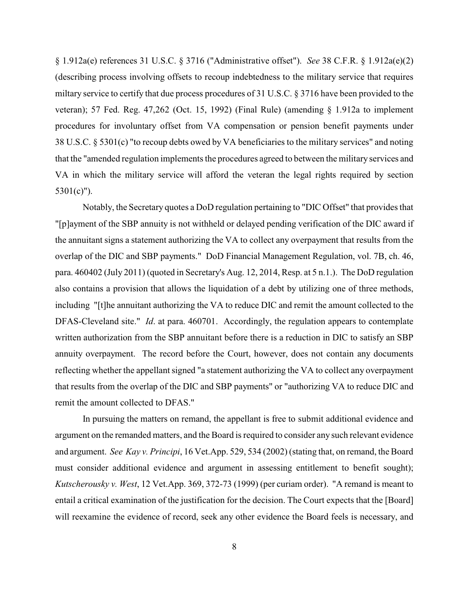§ 1.912a(e) references 31 U.S.C. § 3716 ("Administrative offset"). *See* 38 C.F.R. § 1.912a(e)(2) (describing process involving offsets to recoup indebtedness to the military service that requires miltary service to certify that due process procedures of 31 U.S.C. § 3716 have been provided to the veteran); 57 Fed. Reg. 47,262 (Oct. 15, 1992) (Final Rule) (amending § 1.912a to implement procedures for involuntary offset from VA compensation or pension benefit payments under 38 U.S.C. § 5301(c) "to recoup debts owed by VA beneficiaries to the military services" and noting that the "amended regulation implements the procedures agreed to between the military services and VA in which the military service will afford the veteran the legal rights required by section 5301(c)").

Notably, the Secretary quotes a DoD regulation pertaining to "DIC Offset" that provides that "[p]ayment of the SBP annuity is not withheld or delayed pending verification of the DIC award if the annuitant signs a statement authorizing the VA to collect any overpayment that results from the overlap of the DIC and SBP payments." DoD Financial Management Regulation, vol. 7B, ch. 46, para. 460402 (July 2011) (quoted in Secretary's Aug. 12, 2014, Resp. at 5 n.1.). The DoD regulation also contains a provision that allows the liquidation of a debt by utilizing one of three methods, including "[t]he annuitant authorizing the VA to reduce DIC and remit the amount collected to the DFAS-Cleveland site." *Id*. at para. 460701. Accordingly, the regulation appears to contemplate written authorization from the SBP annuitant before there is a reduction in DIC to satisfy an SBP annuity overpayment. The record before the Court, however, does not contain any documents reflecting whether the appellant signed "a statement authorizing the VA to collect any overpayment that results from the overlap of the DIC and SBP payments" or "authorizing VA to reduce DIC and remit the amount collected to DFAS."

In pursuing the matters on remand, the appellant is free to submit additional evidence and argument on the remanded matters, and the Board is required to consider any such relevant evidence and argument. *See Kay v. Principi*, 16 Vet.App. 529, 534 (2002) (stating that, on remand, the Board must consider additional evidence and argument in assessing entitlement to benefit sought); *Kutscherousky v. West*, 12 Vet.App. 369, 372-73 (1999) (per curiam order). "A remand is meant to entail a critical examination of the justification for the decision. The Court expects that the [Board] will reexamine the evidence of record, seek any other evidence the Board feels is necessary, and